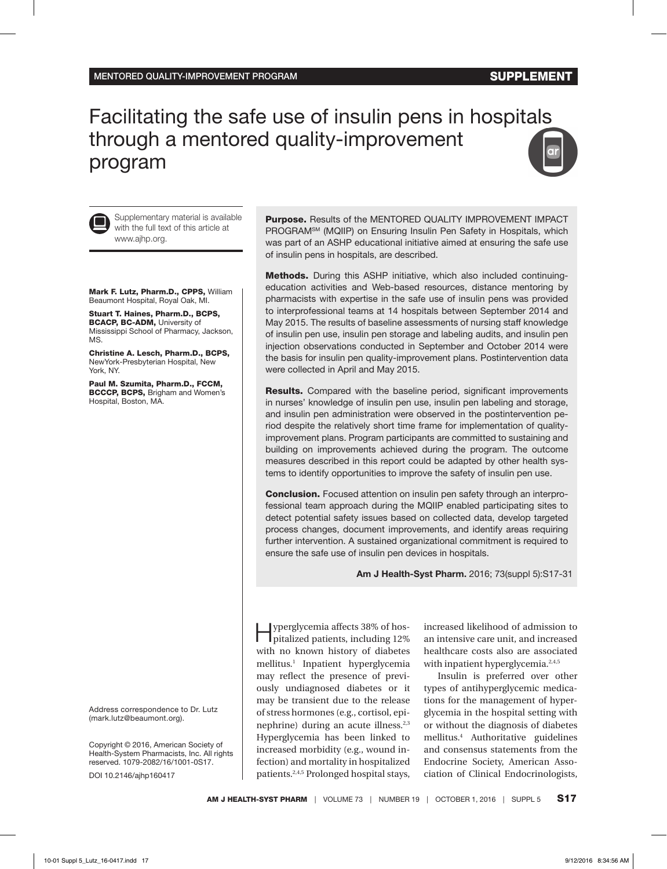# Facilitating the safe use of insulin pens in hospitals through a mentored quality-improvement program





Supplementary material is available with the full text of this article at www.ajhp.org.

Mark F. Lutz, Pharm.D., CPPS, William Beaumont Hospital, Royal Oak, MI.

Stuart T. Haines, Pharm.D., BCPS, BCACP, BC-ADM, University of Mississippi School of Pharmacy, Jackson, MS.

Christine A. Lesch, Pharm.D., BCPS, NewYork-Presbyterian Hospital, New York, NY.

Paul M. Szumita, Pharm.D., FCCM, BCCCP, BCPS, Brigham and Women's Hospital, Boston, MA.

Address correspondence to Dr. Lutz (mark.lutz@beaumont.org).

Copyright © 2016, American Society of Health-System Pharmacists, Inc. All rights reserved. 1079-2082/16/1001-0S17.

DOI 10.2146/ajhp160417

Purpose. Results of the MENTORED QUALITY IMPROVEMENT IMPACT PROGRAMSM (MQIIP) on Ensuring Insulin Pen Safety in Hospitals, which was part of an ASHP educational initiative aimed at ensuring the safe use of insulin pens in hospitals, are described.

Methods. During this ASHP initiative, which also included continuingeducation activities and Web-based resources, distance mentoring by pharmacists with expertise in the safe use of insulin pens was provided to interprofessional teams at 14 hospitals between September 2014 and May 2015. The results of baseline assessments of nursing staff knowledge of insulin pen use, insulin pen storage and labeling audits, and insulin pen injection observations conducted in September and October 2014 were the basis for insulin pen quality-improvement plans. Postintervention data were collected in April and May 2015.

Results. Compared with the baseline period, significant improvements in nurses' knowledge of insulin pen use, insulin pen labeling and storage, and insulin pen administration were observed in the postintervention period despite the relatively short time frame for implementation of qualityimprovement plans. Program participants are committed to sustaining and building on improvements achieved during the program. The outcome measures described in this report could be adapted by other health systems to identify opportunities to improve the safety of insulin pen use.

Conclusion. Focused attention on insulin pen safety through an interprofessional team approach during the MQIIP enabled participating sites to detect potential safety issues based on collected data, develop targeted process changes, document improvements, and identify areas requiring further intervention. A sustained organizational commitment is required to ensure the safe use of insulin pen devices in hospitals.

**Am J Health-Syst Pharm.** 2016; 73(suppl 5):S17-31

Hyperglycemia affects 38% of hospitalized patients, including 12% with no known history of diabetes mellitus.1 Inpatient hyperglycemia may reflect the presence of previously undiagnosed diabetes or it may be transient due to the release of stress hormones (e.g., cortisol, epinephrine) during an acute illness.2,3 Hyperglycemia has been linked to increased morbidity (e.g., wound infection) and mortality in hospitalized patients.2,4,5 Prolonged hospital stays,

increased likelihood of admission to an intensive care unit, and increased healthcare costs also are associated with inpatient hyperglycemia.<sup>2,4,5</sup>

Insulin is preferred over other types of antihyperglycemic medications for the management of hyperglycemia in the hospital setting with or without the diagnosis of diabetes mellitus.4 Authoritative guidelines and consensus statements from the Endocrine Society, American Association of Clinical Endocrinologists,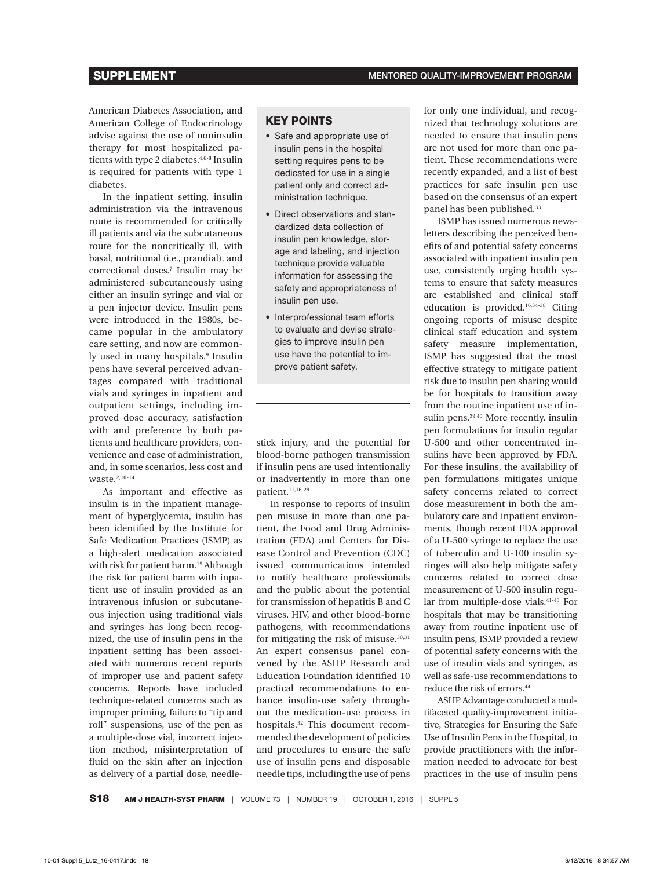American Diabetes Association, and American College of Endocrinology advise against the use of noninsulin therapy for most hospitalized patients with type 2 diabetes.<sup>4,6-8</sup> Insulin is required for patients with type 1 diabetes.

In the inpatient setting, insulin administration via the intravenous route is recommended for critically ill patients and via the subcutaneous route for the noncritically ill, with basal, nutritional (i.e., prandial), and correctional doses.7 Insulin may be administered subcutaneously using either an insulin syringe and vial or a pen injector device. Insulin pens were introduced in the 1980s, became popular in the ambulatory care setting, and now are commonly used in many hospitals.<sup>9</sup> Insulin pens have several perceived advantages compared with traditional vials and syringes in inpatient and outpatient settings, including improved dose accuracy, satisfaction with and preference by both patients and healthcare providers, convenience and ease of administration, and, in some scenarios, less cost and waste.2,10-14

As important and effective as insulin is in the inpatient management of hyperglycemia, insulin has been identified by the Institute for Safe Medication Practices (ISMP) as a high-alert medication associated with risk for patient harm.15 Although the risk for patient harm with inpatient use of insulin provided as an intravenous infusion or subcutaneous injection using traditional vials and syringes has long been recognized, the use of insulin pens in the inpatient setting has been associated with numerous recent reports of improper use and patient safety concerns. Reports have included technique-related concerns such as improper priming, failure to "tip and roll" suspensions, use of the pen as a multiple-dose vial, incorrect injection method, misinterpretation of fluid on the skin after an injection as delivery of a partial dose, needle-

# KEY POINTS

- Safe and appropriate use of insulin pens in the hospital setting requires pens to be dedicated for use in a single patient only and correct administration technique.
- • Direct observations and standardized data collection of insulin pen knowledge, storage and labeling, and injection technique provide valuable information for assessing the safety and appropriateness of insulin pen use.
- Interprofessional team efforts to evaluate and devise strategies to improve insulin pen use have the potential to improve patient safety.

stick injury, and the potential for blood-borne pathogen transmission if insulin pens are used intentionally or inadvertently in more than one patient.11,16-29

In response to reports of insulin pen misuse in more than one patient, the Food and Drug Administration (FDA) and Centers for Disease Control and Prevention (CDC) issued communications intended to notify healthcare professionals and the public about the potential for transmission of hepatitis B and C viruses, HIV, and other blood-borne pathogens, with recommendations for mitigating the risk of misuse. $30,31$ An expert consensus panel convened by the ASHP Research and Education Foundation identified 10 practical recommendations to enhance insulin-use safety throughout the medication-use process in hospitals.32 This document recommended the development of policies and procedures to ensure the safe use of insulin pens and disposable needle tips, including the use of pens for only one individual, and recognized that technology solutions are needed to ensure that insulin pens are not used for more than one patient. These recommendations were recently expanded, and a list of best practices for safe insulin pen use based on the consensus of an expert panel has been published.<sup>33</sup>

ISMP has issued numerous newsletters describing the perceived benefits of and potential safety concerns associated with inpatient insulin pen use, consistently urging health systems to ensure that safety measures are established and clinical staff education is provided.16,34-38 Citing ongoing reports of misuse despite clinical staff education and system safety measure implementation, ISMP has suggested that the most effective strategy to mitigate patient risk due to insulin pen sharing would be for hospitals to transition away from the routine inpatient use of insulin pens.<sup>39,40</sup> More recently, insulin pen formulations for insulin regular U-500 and other concentrated insulins have been approved by FDA. For these insulins, the availability of pen formulations mitigates unique safety concerns related to correct dose measurement in both the ambulatory care and inpatient environments, though recent FDA approval of a U-500 syringe to replace the use of tuberculin and U-100 insulin syringes will also help mitigate safety concerns related to correct dose measurement of U-500 insulin regular from multiple-dose vials.41-43 For hospitals that may be transitioning away from routine inpatient use of insulin pens, ISMP provided a review of potential safety concerns with the use of insulin vials and syringes, as well as safe-use recommendations to reduce the risk of errors.<sup>44</sup>

ASHP Advantage conducted a multifaceted quality-improvement initiative, Strategies for Ensuring the Safe Use of Insulin Pens in the Hospital, to provide practitioners with the information needed to advocate for best practices in the use of insulin pens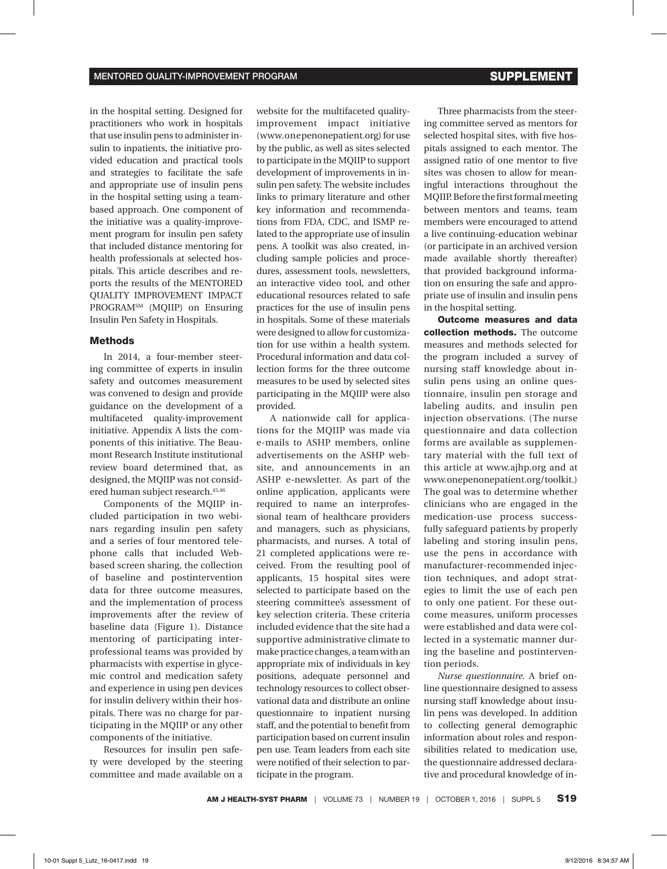in the hospital setting. Designed for practitioners who work in hospitals that use insulin pens to administer insulin to inpatients, the initiative provided education and practical tools and strategies to facilitate the safe and appropriate use of insulin pens in the hospital setting using a teambased approach. One component of the initiative was a quality-improvement program for insulin pen safety that included distance mentoring for health professionals at selected hospitals. This article describes and reports the results of the MENTORED QUALITY IMPROVEMENT IMPACT PROGRAMSM (MQIIP) on Ensuring Insulin Pen Safety in Hospitals.

### Methods

In 2014, a four-member steering committee of experts in insulin safety and outcomes measurement was convened to design and provide guidance on the development of a multifaceted quality-improvement initiative. Appendix A lists the components of this initiative. The Beaumont Research Institute institutional review board determined that, as designed, the MQIIP was not considered human subject research.45,46

Components of the MQIIP included participation in two webinars regarding insulin pen safety and a series of four mentored telephone calls that included Webbased screen sharing, the collection of baseline and postintervention data for three outcome measures, and the implementation of process improvements after the review of baseline data (Figure 1). Distance mentoring of participating interprofessional teams was provided by pharmacists with expertise in glycemic control and medication safety and experience in using pen devices for insulin delivery within their hospitals. There was no charge for participating in the MQIIP or any other components of the initiative.

Resources for insulin pen safety were developed by the steering committee and made available on a

website for the multifaceted qualityimprovement impact initiative (www.onepenonepatient.org) for use by the public, as well as sites selected to participate in the MQIIP to support development of improvements in insulin pen safety. The website includes links to primary literature and other key information and recommendations from FDA, CDC, and ISMP related to the appropriate use of insulin pens. A toolkit was also created, including sample policies and procedures, assessment tools, newsletters, an interactive video tool, and other educational resources related to safe practices for the use of insulin pens in hospitals. Some of these materials were designed to allow for customization for use within a health system. Procedural information and data collection forms for the three outcome measures to be used by selected sites participating in the MQIIP were also provided.

A nationwide call for applications for the MQIIP was made via e-mails to ASHP members, online advertisements on the ASHP website, and announcements in an ASHP e-newsletter. As part of the online application, applicants were required to name an interprofessional team of healthcare providers and managers, such as physicians, pharmacists, and nurses. A total of 21 completed applications were received. From the resulting pool of applicants, 15 hospital sites were selected to participate based on the steering committee's assessment of key selection criteria. These criteria included evidence that the site had a supportive administrative climate to make practice changes, a team with an appropriate mix of individuals in key positions, adequate personnel and technology resources to collect observational data and distribute an online questionnaire to inpatient nursing staff, and the potential to benefit from participation based on current insulin pen use. Team leaders from each site were notified of their selection to participate in the program.

Three pharmacists from the steering committee served as mentors for selected hospital sites, with five hospitals assigned to each mentor. The assigned ratio of one mentor to five sites was chosen to allow for meaningful interactions throughout the MQIIP. Before the first formal meeting between mentors and teams, team members were encouraged to attend a live continuing-education webinar (or participate in an archived version made available shortly thereafter) that provided background information on ensuring the safe and appropriate use of insulin and insulin pens in the hospital setting.

Outcome measures and data collection methods. The outcome measures and methods selected for the program included a survey of nursing staff knowledge about insulin pens using an online questionnaire, insulin pen storage and labeling audits, and insulin pen injection observations. (The nurse questionnaire and data collection forms are available as supplementary material with the full text of this article at www.ajhp.org and at www.onepenonepatient.org/toolkit.) The goal was to determine whether clinicians who are engaged in the medication-use process successfully safeguard patients by properly labeling and storing insulin pens, use the pens in accordance with manufacturer-recommended injection techniques, and adopt strategies to limit the use of each pen to only one patient. For these outcome measures, uniform processes were established and data were collected in a systematic manner during the baseline and postintervention periods.

*Nurse questionnaire.* A brief online questionnaire designed to assess nursing staff knowledge about insulin pens was developed. In addition to collecting general demographic information about roles and responsibilities related to medication use, the questionnaire addressed declarative and procedural knowledge of in-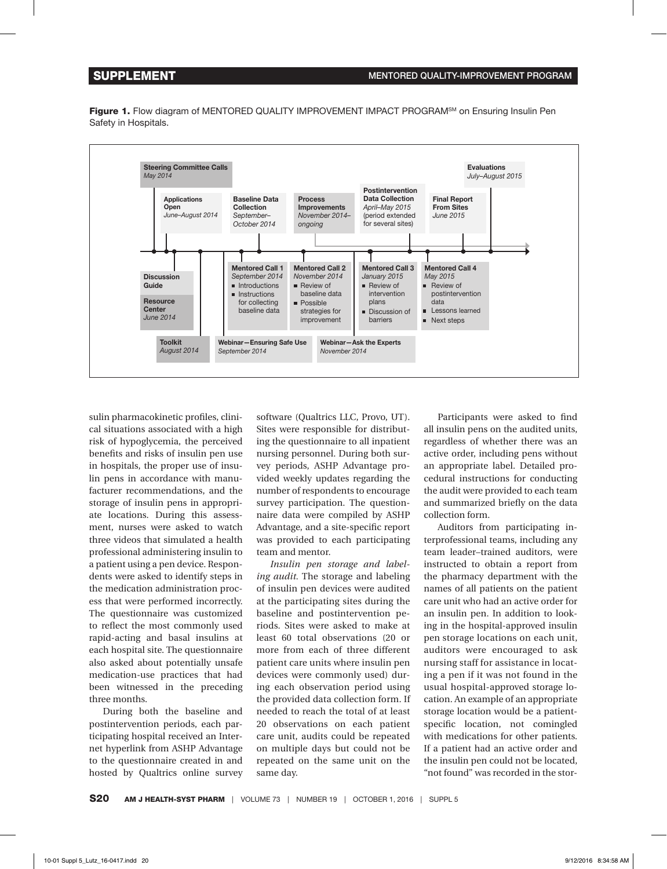Figure 1. Flow diagram of MENTORED QUALITY IMPROVEMENT IMPACT PROGRAM<sup>SM</sup> on Ensuring Insulin Pen Safety in Hospitals.



sulin pharmacokinetic profiles, clinical situations associated with a high risk of hypoglycemia, the perceived benefits and risks of insulin pen use in hospitals, the proper use of insulin pens in accordance with manufacturer recommendations, and the storage of insulin pens in appropriate locations. During this assessment, nurses were asked to watch three videos that simulated a health professional administering insulin to a patient using a pen device. Respondents were asked to identify steps in the medication administration process that were performed incorrectly. The questionnaire was customized to reflect the most commonly used rapid-acting and basal insulins at each hospital site. The questionnaire also asked about potentially unsafe medication-use practices that had been witnessed in the preceding three months.

During both the baseline and postintervention periods, each participating hospital received an Internet hyperlink from ASHP Advantage to the questionnaire created in and hosted by Qualtrics online survey

software (Qualtrics LLC, Provo, UT). Sites were responsible for distributing the questionnaire to all inpatient nursing personnel. During both survey periods, ASHP Advantage provided weekly updates regarding the number of respondents to encourage survey participation. The questionnaire data were compiled by ASHP Advantage, and a site-specific report was provided to each participating team and mentor.

*Insulin pen storage and labeling audit.* The storage and labeling of insulin pen devices were audited at the participating sites during the baseline and postintervention periods. Sites were asked to make at least 60 total observations (20 or more from each of three different patient care units where insulin pen devices were commonly used) during each observation period using the provided data collection form. If needed to reach the total of at least 20 observations on each patient care unit, audits could be repeated on multiple days but could not be repeated on the same unit on the same day.

Participants were asked to find all insulin pens on the audited units, regardless of whether there was an active order, including pens without an appropriate label. Detailed procedural instructions for conducting the audit were provided to each team and summarized briefly on the data collection form.

Auditors from participating interprofessional teams, including any team leader–trained auditors, were instructed to obtain a report from the pharmacy department with the names of all patients on the patient care unit who had an active order for an insulin pen. In addition to looking in the hospital-approved insulin pen storage locations on each unit, auditors were encouraged to ask nursing staff for assistance in locating a pen if it was not found in the usual hospital-approved storage location. An example of an appropriate storage location would be a patientspecific location, not comingled with medications for other patients. If a patient had an active order and the insulin pen could not be located, "not found" was recorded in the stor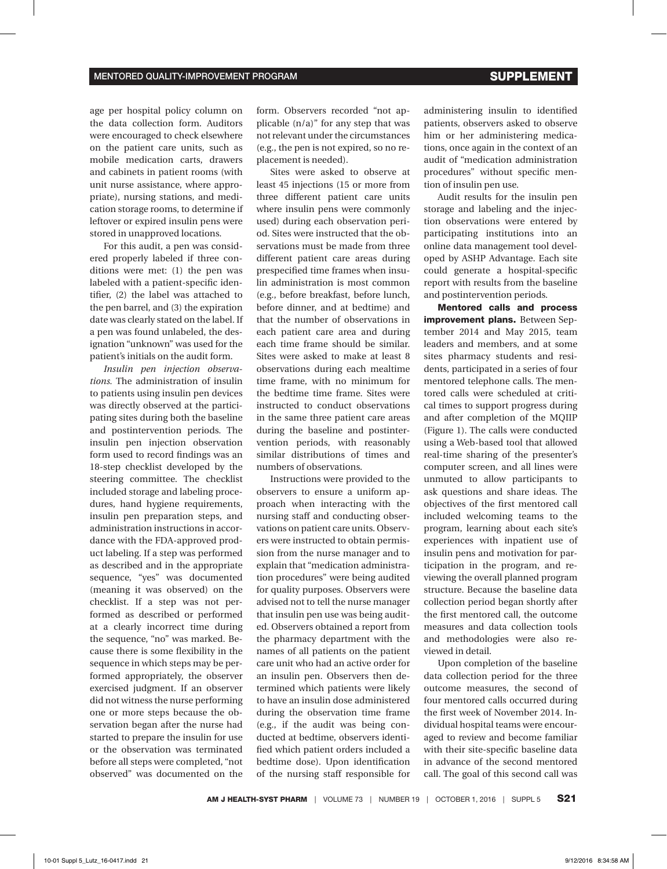age per hospital policy column on the data collection form. Auditors were encouraged to check elsewhere on the patient care units, such as mobile medication carts, drawers and cabinets in patient rooms (with unit nurse assistance, where appropriate), nursing stations, and medication storage rooms, to determine if leftover or expired insulin pens were stored in unapproved locations.

For this audit, a pen was considered properly labeled if three conditions were met: (1) the pen was labeled with a patient-specific identifier, (2) the label was attached to the pen barrel, and (3) the expiration date was clearly stated on the label. If a pen was found unlabeled, the designation "unknown" was used for the patient's initials on the audit form.

*Insulin pen injection observations.* The administration of insulin to patients using insulin pen devices was directly observed at the participating sites during both the baseline and postintervention periods. The insulin pen injection observation form used to record findings was an 18-step checklist developed by the steering committee. The checklist included storage and labeling procedures, hand hygiene requirements, insulin pen preparation steps, and administration instructions in accordance with the FDA-approved product labeling. If a step was performed as described and in the appropriate sequence, "yes" was documented (meaning it was observed) on the checklist. If a step was not performed as described or performed at a clearly incorrect time during the sequence, "no" was marked. Because there is some flexibility in the sequence in which steps may be performed appropriately, the observer exercised judgment. If an observer did not witness the nurse performing one or more steps because the observation began after the nurse had started to prepare the insulin for use or the observation was terminated before all steps were completed, "not observed" was documented on the

form. Observers recorded "not applicable  $(n/a)$ " for any step that was not relevant under the circumstances (e.g., the pen is not expired, so no replacement is needed).

Sites were asked to observe at least 45 injections (15 or more from three different patient care units where insulin pens were commonly used) during each observation period. Sites were instructed that the observations must be made from three different patient care areas during prespecified time frames when insulin administration is most common (e.g., before breakfast, before lunch, before dinner, and at bedtime) and that the number of observations in each patient care area and during each time frame should be similar. Sites were asked to make at least 8 observations during each mealtime time frame, with no minimum for the bedtime time frame. Sites were instructed to conduct observations in the same three patient care areas during the baseline and postintervention periods, with reasonably similar distributions of times and numbers of observations.

Instructions were provided to the observers to ensure a uniform approach when interacting with the nursing staff and conducting observations on patient care units. Observers were instructed to obtain permission from the nurse manager and to explain that "medication administration procedures" were being audited for quality purposes. Observers were advised not to tell the nurse manager that insulin pen use was being audited. Observers obtained a report from the pharmacy department with the names of all patients on the patient care unit who had an active order for an insulin pen. Observers then determined which patients were likely to have an insulin dose administered during the observation time frame (e.g., if the audit was being conducted at bedtime, observers identified which patient orders included a bedtime dose). Upon identification of the nursing staff responsible for administering insulin to identified patients, observers asked to observe him or her administering medications, once again in the context of an audit of "medication administration procedures" without specific mention of insulin pen use.

Audit results for the insulin pen storage and labeling and the injection observations were entered by participating institutions into an online data management tool developed by ASHP Advantage. Each site could generate a hospital-specific report with results from the baseline and postintervention periods.

Mentored calls and process improvement plans. Between September 2014 and May 2015, team leaders and members, and at some sites pharmacy students and residents, participated in a series of four mentored telephone calls. The mentored calls were scheduled at critical times to support progress during and after completion of the MQIIP (Figure 1). The calls were conducted using a Web-based tool that allowed real-time sharing of the presenter's computer screen, and all lines were unmuted to allow participants to ask questions and share ideas. The objectives of the first mentored call included welcoming teams to the program, learning about each site's experiences with inpatient use of insulin pens and motivation for participation in the program, and reviewing the overall planned program structure. Because the baseline data collection period began shortly after the first mentored call, the outcome measures and data collection tools and methodologies were also reviewed in detail.

Upon completion of the baseline data collection period for the three outcome measures, the second of four mentored calls occurred during the first week of November 2014. Individual hospital teams were encouraged to review and become familiar with their site-specific baseline data in advance of the second mentored call. The goal of this second call was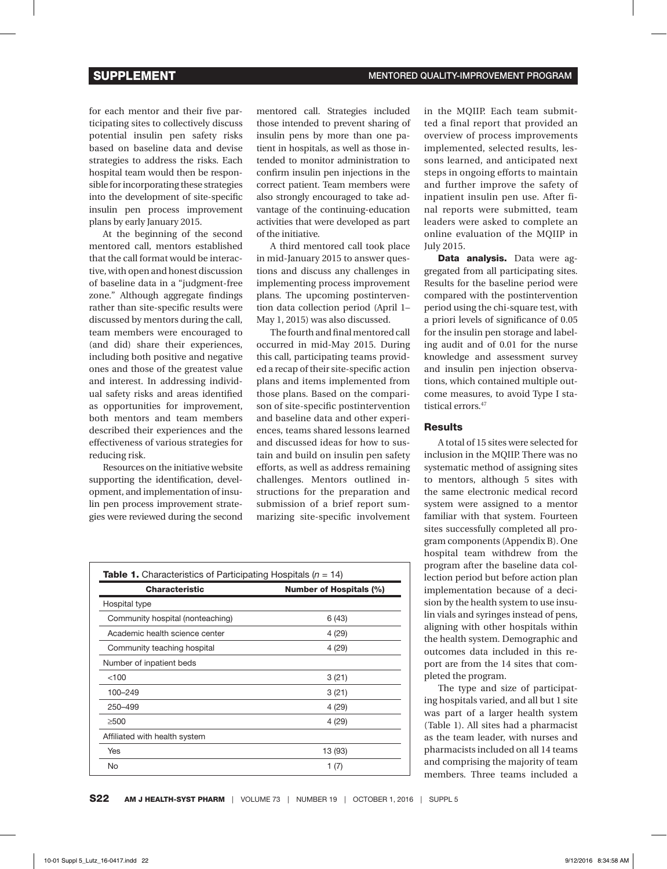for each mentor and their five participating sites to collectively discuss potential insulin pen safety risks based on baseline data and devise strategies to address the risks. Each hospital team would then be responsible for incorporating these strategies into the development of site-specific insulin pen process improvement plans by early January 2015.

At the beginning of the second mentored call, mentors established that the call format would be interactive, with open and honest discussion of baseline data in a "judgment-free zone." Although aggregate findings rather than site-specific results were discussed by mentors during the call, team members were encouraged to (and did) share their experiences, including both positive and negative ones and those of the greatest value and interest. In addressing individual safety risks and areas identified as opportunities for improvement, both mentors and team members described their experiences and the effectiveness of various strategies for reducing risk.

Resources on the initiative website supporting the identification, development, and implementation of insulin pen process improvement strategies were reviewed during the second

mentored call. Strategies included those intended to prevent sharing of insulin pens by more than one patient in hospitals, as well as those intended to monitor administration to confirm insulin pen injections in the correct patient. Team members were also strongly encouraged to take advantage of the continuing-education activities that were developed as part of the initiative.

A third mentored call took place in mid-January 2015 to answer questions and discuss any challenges in implementing process improvement plans. The upcoming postintervention data collection period (April 1– May 1, 2015) was also discussed.

The fourth and final mentored call occurred in mid-May 2015. During this call, participating teams provided a recap of their site-specific action plans and items implemented from those plans. Based on the comparison of site-specific postintervention and baseline data and other experiences, teams shared lessons learned and discussed ideas for how to sustain and build on insulin pen safety efforts, as well as address remaining challenges. Mentors outlined instructions for the preparation and submission of a brief report summarizing site-specific involvement

| <b>Table 1.</b> Characteristics of Participating Hospitals ( $n = 14$ ) |                                |
|-------------------------------------------------------------------------|--------------------------------|
| <b>Characteristic</b>                                                   | <b>Number of Hospitals (%)</b> |
| Hospital type                                                           |                                |
| Community hospital (nonteaching)                                        | 6(43)                          |
| Academic health science center                                          | 4 (29)                         |
| Community teaching hospital                                             | 4 (29)                         |
| Number of inpatient beds                                                |                                |
| < 100                                                                   | 3(21)                          |
| 100-249                                                                 | 3(21)                          |
| 250-499                                                                 | 4 (29)                         |
| >500                                                                    | 4 (29)                         |
| Affiliated with health system                                           |                                |
| Yes                                                                     | 13 (93)                        |
| No                                                                      | 1 (7)                          |

in the MQIIP. Each team submitted a final report that provided an overview of process improvements implemented, selected results, lessons learned, and anticipated next steps in ongoing efforts to maintain and further improve the safety of inpatient insulin pen use. After final reports were submitted, team leaders were asked to complete an online evaluation of the MQIIP in July 2015.

Data analysis. Data were aggregated from all participating sites. Results for the baseline period were compared with the postintervention period using the chi-square test, with a priori levels of significance of 0.05 for the insulin pen storage and labeling audit and of 0.01 for the nurse knowledge and assessment survey and insulin pen injection observations, which contained multiple outcome measures, to avoid Type I statistical errors.<sup>47</sup>

#### **Results**

A total of 15 sites were selected for inclusion in the MQIIP. There was no systematic method of assigning sites to mentors, although 5 sites with the same electronic medical record system were assigned to a mentor familiar with that system. Fourteen sites successfully completed all program components (Appendix B). One hospital team withdrew from the program after the baseline data collection period but before action plan implementation because of a decision by the health system to use insulin vials and syringes instead of pens, aligning with other hospitals within the health system. Demographic and outcomes data included in this report are from the 14 sites that completed the program.

The type and size of participating hospitals varied, and all but 1 site was part of a larger health system (Table 1). All sites had a pharmacist as the team leader, with nurses and pharmacists included on all 14 teams and comprising the majority of team members. Three teams included a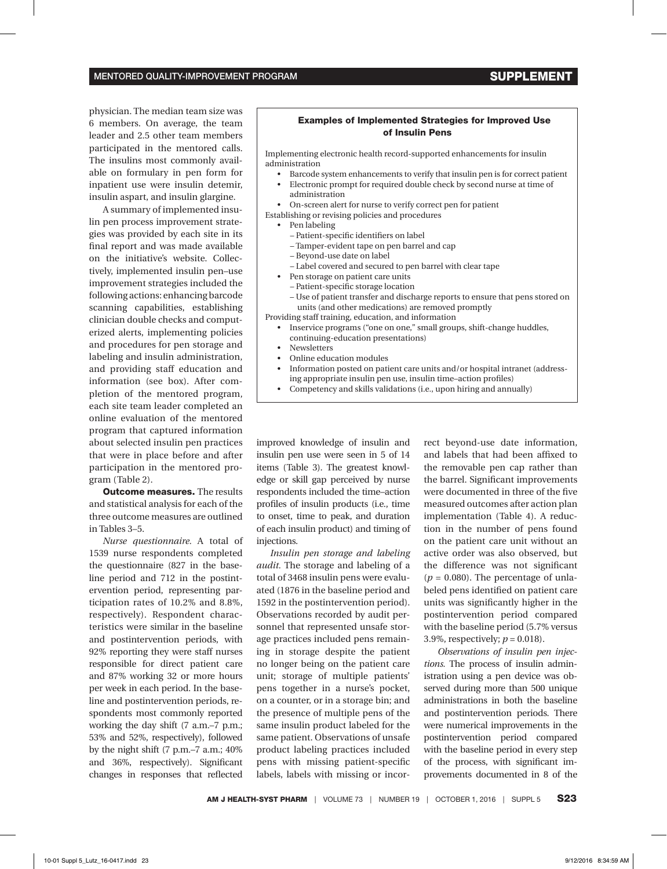physician. The median team size was 6 members. On average, the team leader and 2.5 other team members participated in the mentored calls. The insulins most commonly available on formulary in pen form for inpatient use were insulin detemir, insulin aspart, and insulin glargine.

A summary of implemented insulin pen process improvement strategies was provided by each site in its final report and was made available on the initiative's website. Collectively, implemented insulin pen–use improvement strategies included the following actions: enhancing barcode scanning capabilities, establishing clinician double checks and computerized alerts, implementing policies and procedures for pen storage and labeling and insulin administration, and providing staff education and information (see box). After completion of the mentored program, each site team leader completed an online evaluation of the mentored program that captured information about selected insulin pen practices that were in place before and after participation in the mentored program (Table 2).

**Outcome measures.** The results and statistical analysis for each of the three outcome measures are outlined in Tables 3–5.

*Nurse questionnaire.* A total of 1539 nurse respondents completed the questionnaire (827 in the baseline period and 712 in the postintervention period, representing participation rates of 10.2% and 8.8%, respectively). Respondent characteristics were similar in the baseline and postintervention periods, with 92% reporting they were staff nurses responsible for direct patient care and 87% working 32 or more hours per week in each period. In the baseline and postintervention periods, respondents most commonly reported working the day shift (7 a.m.–7 p.m.; 53% and 52%, respectively), followed by the night shift (7 p.m.–7 a.m.; 40% and 36%, respectively). Significant changes in responses that reflected

#### Examples of Implemented Strategies for Improved Use of Insulin Pens

Implementing electronic health record-supported enhancements for insulin administration

- • Barcode system enhancements to verify that insulin pen is for correct patient
- • Electronic prompt for required double check by second nurse at time of administration
- On-screen alert for nurse to verify correct pen for patient
- Establishing or revising policies and procedures
	- • Pen labeling
		- Patient-specific identifiers on label
		- Tamper-evident tape on pen barrel and cap
		- Beyond-use date on label
		- Label covered and secured to pen barrel with clear tape
	- Pen storage on patient care units
		- Patient-specific storage location
		- Use of patient transfer and discharge reports to ensure that pens stored on units (and other medications) are removed promptly

Providing staff training, education, and information

- Inservice programs ("one on one," small groups, shift-change huddles, continuing-education presentations)
- **Newsletters**
- Online education modules
- Information posted on patient care units and/or hospital intranet (addressing appropriate insulin pen use, insulin time–action profiles)
- • Competency and skills validations (i.e., upon hiring and annually)

improved knowledge of insulin and insulin pen use were seen in 5 of 14 items (Table 3). The greatest knowledge or skill gap perceived by nurse respondents included the time–action profiles of insulin products (i.e., time to onset, time to peak, and duration of each insulin product) and timing of injections.

*Insulin pen storage and labeling audit.* The storage and labeling of a total of 3468 insulin pens were evaluated (1876 in the baseline period and 1592 in the postintervention period). Observations recorded by audit personnel that represented unsafe storage practices included pens remaining in storage despite the patient no longer being on the patient care unit; storage of multiple patients' pens together in a nurse's pocket, on a counter, or in a storage bin; and the presence of multiple pens of the same insulin product labeled for the same patient. Observations of unsafe product labeling practices included pens with missing patient-specific labels, labels with missing or incorrect beyond-use date information, and labels that had been affixed to the removable pen cap rather than the barrel. Significant improvements were documented in three of the five measured outcomes after action plan implementation (Table 4). A reduction in the number of pens found on the patient care unit without an active order was also observed, but the difference was not significant  $(p = 0.080)$ . The percentage of unlabeled pens identified on patient care units was significantly higher in the postintervention period compared with the baseline period (5.7% versus 3.9%, respectively; *p* = 0.018).

*Observations of insulin pen injections.* The process of insulin administration using a pen device was observed during more than 500 unique administrations in both the baseline and postintervention periods. There were numerical improvements in the postintervention period compared with the baseline period in every step of the process, with significant improvements documented in 8 of the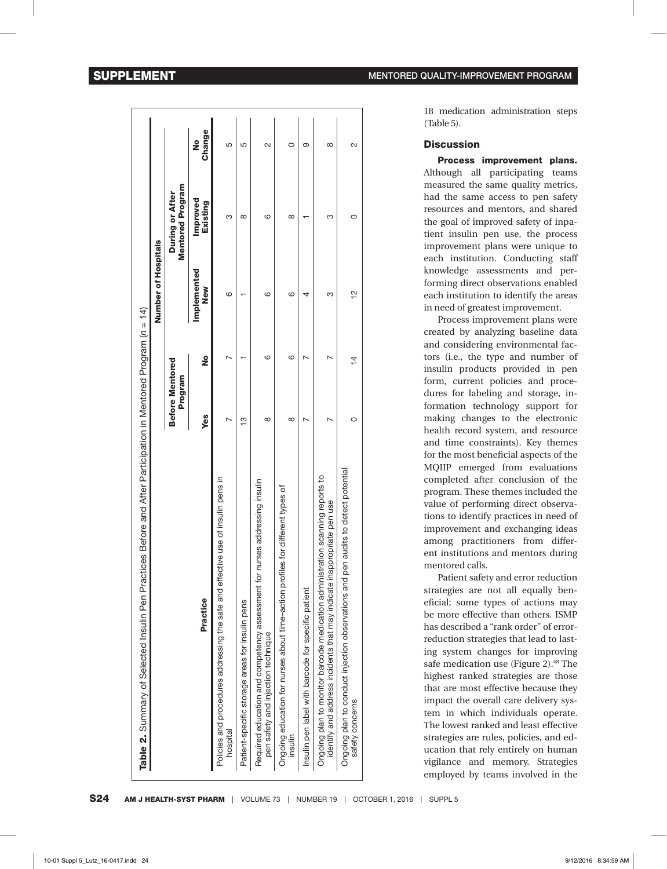|                                                                                                                                                              |                                   |                | Number of Hospitals              |                                     |             |
|--------------------------------------------------------------------------------------------------------------------------------------------------------------|-----------------------------------|----------------|----------------------------------|-------------------------------------|-------------|
|                                                                                                                                                              | <b>Before Mentored</b><br>Program |                |                                  | Mentored Program<br>During or After |             |
| Practice                                                                                                                                                     | <b>Yes</b>                        | ş              | <b>Implemented</b><br><b>New</b> | Improved<br>Existing                | Change<br>ž |
| Policies and procedures addressing the safe and effective use of insulin pens in<br>hospital                                                                 |                                   |                | ဖ                                | ო                                   | 5           |
| Patient-specific storage areas for insulin pens                                                                                                              | $\frac{3}{2}$                     |                |                                  | $\infty$                            | 5           |
| Required education and competency assessment for nurses addressing insulin<br>pen safety and injection technique                                             | $\infty$                          | ဖ              | ဖ                                | ဖ                                   | $\sim$      |
| Ongoing education for nurses about time-action profiles for different types of<br>insulin                                                                    | $\infty$                          | ဖ              | ဖ                                | $\infty$                            |             |
| Insulin pen label with barcode for specific patient                                                                                                          |                                   |                | 4                                |                                     | ග           |
| ration scanning reports to<br>identify and address incidents that may indicate inappropriate pen use<br>Ongoing plan to monitor barcode medication administr |                                   |                | ω                                | 3                                   | $^{\circ}$  |
| Ongoing plan to conduct injection observations and pen audits to detect potential<br>safety concerns                                                         | 0                                 | $\overline{4}$ | $\frac{1}{2}$                    | 0                                   | 2           |

18 medication administration steps (Table 5).

#### **Discussion**

Process improvement plans. Although all participating teams measured the same quality metrics, had the same access to pen safety resources and mentors, and shared the goal of improved safety of inpatient insulin pen use, the process improvement plans were unique to each institution. Conducting staff knowledge assessments and performing direct observations enabled each institution to identify the areas in need of greatest improvement.

Process improvement plans were created by analyzing baseline data and considering environmental factors (i.e., the type and number of insulin products provided in pen form, current policies and procedures for labeling and storage, information technology support for making changes to the electronic health record system, and resource and time constraints). Key themes for the most beneficial aspects of the MQIIP emerged from evaluations completed after conclusion of the program. These themes included the value of performing direct observations to identify practices in need of improvement and exchanging ideas among practitioners from different institutions and mentors during mentored calls.

Patient safety and error reduction strategies are not all equally beneficial; some types of actions may be more effective than others. ISMP has described a "rank order" of errorreduction strategies that lead to lasting system changes for improving safe medication use (Figure 2).<sup>48</sup> The highest ranked strategies are those that are most effective because they impact the overall care delivery system in which individuals operate. The lowest ranked and least effective strategies are rules, policies, and education that rely entirely on human vigilance and memory. Strategies employed by teams involved in the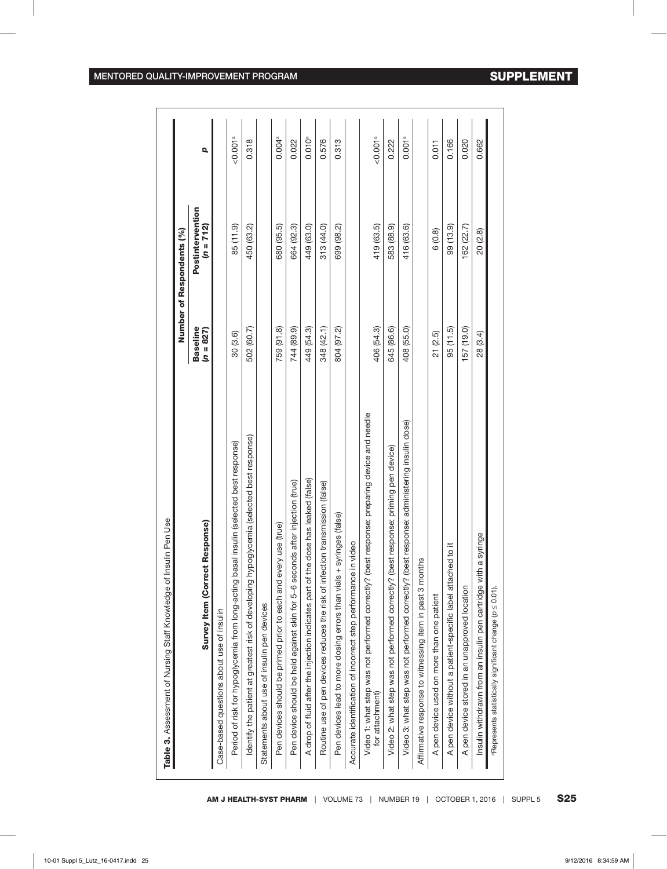|                                                                                                                |                                | Number of Respondents (%)     |                      |
|----------------------------------------------------------------------------------------------------------------|--------------------------------|-------------------------------|----------------------|
| ct Response)<br><b>Survey Item (Corre-</b>                                                                     | <b>Baseline</b><br>$(n = 827)$ | Postintervention<br>(n = 712) | Q                    |
| Case-based questions about use of insulin                                                                      |                                |                               |                      |
| Period of risk for hypoglycemia from long-acting basal insulin (selected best response)                        | 30 (3.6)                       | 85 (11.9)                     | < 0.001 <sup>a</sup> |
| identify the patient at greatest risk of developing hypoglycemia (selected best response)                      | 502 (60.7)                     | 450 (63.2)                    | 0.318                |
| Statements about use of insulin pen devices                                                                    |                                |                               |                      |
| Pen devices should be primed prior to each and every use (true)                                                | 759 (91.8)                     | 680 (95.5)                    | 0.004 <sup>a</sup>   |
| Pen device should be held against skin for 5-6 seconds after injection (true)                                  | 744 (89.9)                     | 664 (92.3)                    | 0.022                |
| A drop of fluid after the injection indicates part of the dose has leaked (false)                              | 449 (54.3)                     | 449 (63.0)                    | 0.010 <sup>a</sup>   |
| Routine use of pen devices reduces the risk of infection transmission (false)                                  | 348 (42.1)                     | 313 (44.0)                    | 0.576                |
| + syringes (false)<br>Pen devices lead to more dosing errors than vials                                        | 804 (97.2)                     | 699 (98.2)                    | 0.313                |
| in video<br>Accurate identification of incorrect step performance                                              |                                |                               |                      |
| Video 1: what step was not performed correctly? (best response: preparing device and needle<br>for attachment) | 406 (54.3)                     | 419 (63.5)                    | < 0.001a             |
| best response: priming pen device)<br>Video 2: what step was not performed correctly? (                        | 645 (86.6)                     | 583 (88.9)                    | 0.222                |
| best response: administering insulin dose)<br>Video 3: what step was not performed correctly?                  | 408 (55.0)                     | 416 (63.6)                    | 0.001 <sup>a</sup>   |
| Affirmative response to witnessing item in past 3 months                                                       |                                |                               |                      |
| A pen device used on more than one patient                                                                     | 21(2.5)                        | 6(0.8)                        | 0.011                |
| hed to it<br>A pen device without a patient-specific label attac                                               | 95 (11.5)                      | 99 (13.9)                     | 0.166                |
| A pen device stored in an unapproved location                                                                  | 157 (19.0)                     | 162 (22.7)                    | 0.020                |
| Insulin withdrawn from an insulin pen cartridge with a syringe                                                 | 28 (3.4)                       | 20 (2.8)                      | 0.662                |
| <sup>a</sup> Represents statistically significant change (p ≤ 0.01).                                           |                                |                               |                      |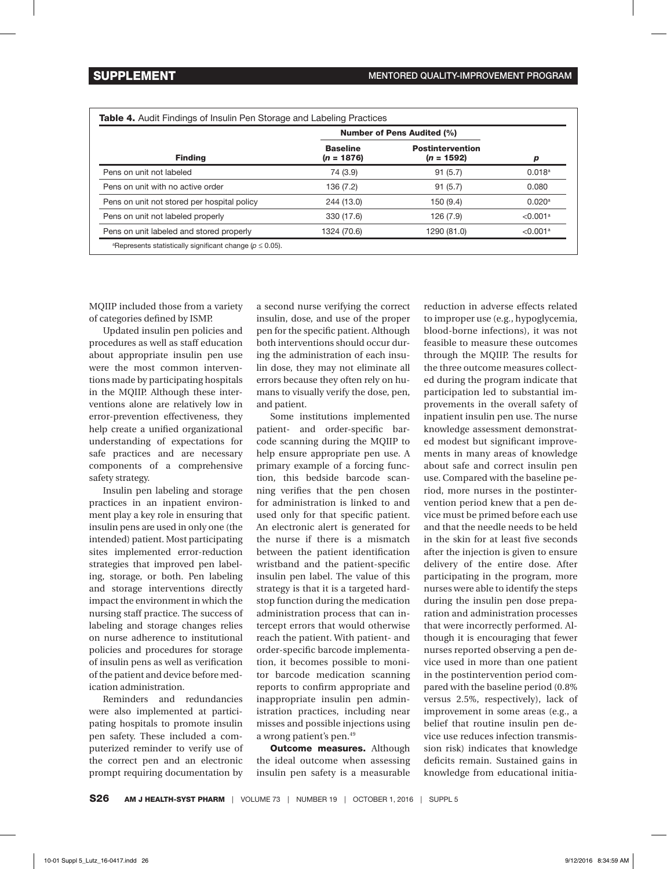|                                             |                                 | <b>Number of Pens Audited (%)</b>       |                      |
|---------------------------------------------|---------------------------------|-----------------------------------------|----------------------|
| <b>Finding</b>                              | <b>Baseline</b><br>$(n = 1876)$ | <b>Postintervention</b><br>$(n = 1592)$ | D                    |
| Pens on unit not labeled                    | 74 (3.9)                        | 91(5.7)                                 | $0.018^{\rm a}$      |
| Pens on unit with no active order           | 136 (7.2)                       | 91(5.7)                                 | 0.080                |
| Pens on unit not stored per hospital policy | 244 (13.0)                      | 150(9.4)                                | $0.020$ <sup>a</sup> |
| Pens on unit not labeled properly           | 330 (17.6)                      | 126 (7.9)                               | < 0.001a             |
| Pens on unit labeled and stored properly    | 1324 (70.6)                     | 1290 (81.0)                             | < 0.001a             |

MQIIP included those from a variety of categories defined by ISMP.

Updated insulin pen policies and procedures as well as staff education about appropriate insulin pen use were the most common interventions made by participating hospitals in the MQIIP. Although these interventions alone are relatively low in error-prevention effectiveness, they help create a unified organizational understanding of expectations for safe practices and are necessary components of a comprehensive safety strategy.

Insulin pen labeling and storage practices in an inpatient environment play a key role in ensuring that insulin pens are used in only one (the intended) patient. Most participating sites implemented error-reduction strategies that improved pen labeling, storage, or both. Pen labeling and storage interventions directly impact the environment in which the nursing staff practice. The success of labeling and storage changes relies on nurse adherence to institutional policies and procedures for storage of insulin pens as well as verification of the patient and device before medication administration.

Reminders and redundancies were also implemented at participating hospitals to promote insulin pen safety. These included a computerized reminder to verify use of the correct pen and an electronic prompt requiring documentation by a second nurse verifying the correct insulin, dose, and use of the proper pen for the specific patient. Although both interventions should occur during the administration of each insulin dose, they may not eliminate all errors because they often rely on humans to visually verify the dose, pen, and patient.

Some institutions implemented patient- and order-specific barcode scanning during the MQIIP to help ensure appropriate pen use. A primary example of a forcing function, this bedside barcode scanning verifies that the pen chosen for administration is linked to and used only for that specific patient. An electronic alert is generated for the nurse if there is a mismatch between the patient identification wristband and the patient-specific insulin pen label. The value of this strategy is that it is a targeted hardstop function during the medication administration process that can intercept errors that would otherwise reach the patient. With patient- and order-specific barcode implementation, it becomes possible to monitor barcode medication scanning reports to confirm appropriate and inappropriate insulin pen administration practices, including near misses and possible injections using a wrong patient's pen.49

**Outcome measures.** Although the ideal outcome when assessing insulin pen safety is a measurable

reduction in adverse effects related to improper use (e.g., hypoglycemia, blood-borne infections), it was not feasible to measure these outcomes through the MQIIP. The results for the three outcome measures collected during the program indicate that participation led to substantial improvements in the overall safety of inpatient insulin pen use. The nurse knowledge assessment demonstrated modest but significant improvements in many areas of knowledge about safe and correct insulin pen use. Compared with the baseline period, more nurses in the postintervention period knew that a pen device must be primed before each use and that the needle needs to be held in the skin for at least five seconds after the injection is given to ensure delivery of the entire dose. After participating in the program, more nurses were able to identify the steps during the insulin pen dose preparation and administration processes that were incorrectly performed. Although it is encouraging that fewer nurses reported observing a pen device used in more than one patient in the postintervention period compared with the baseline period (0.8% versus 2.5%, respectively), lack of improvement in some areas (e.g., a belief that routine insulin pen device use reduces infection transmission risk) indicates that knowledge deficits remain. Sustained gains in knowledge from educational initia-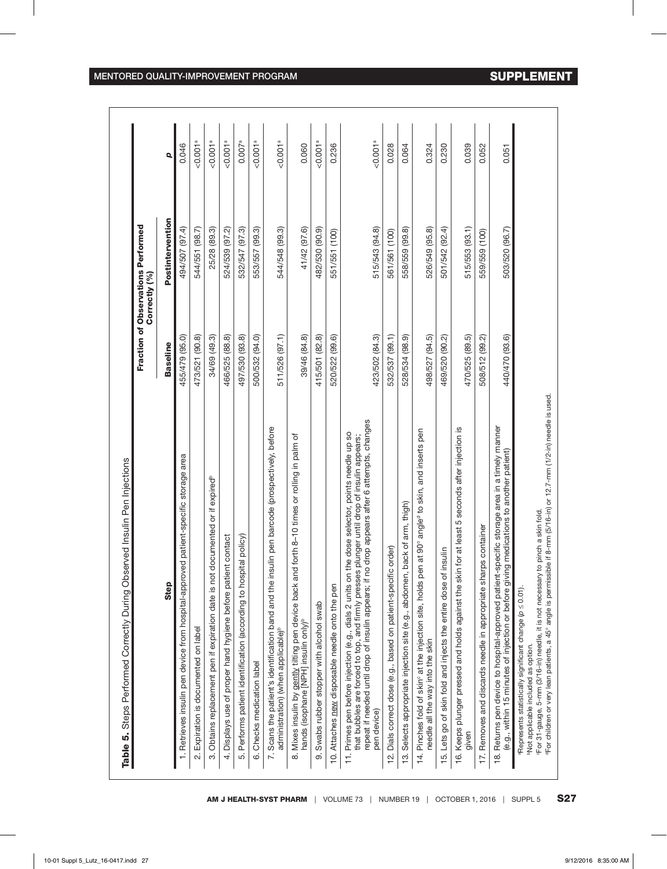| 455/479 (95.0)<br>473/521 (90.8)<br>34/69 (49.3)<br>466/525 (88.8)<br>497/530 (93.8)<br><b>Baseline</b> | Postintervention<br>494/507 (97.4) |                      |
|---------------------------------------------------------------------------------------------------------|------------------------------------|----------------------|
|                                                                                                         |                                    | $\overline{Q}$       |
|                                                                                                         |                                    | 0.046                |
|                                                                                                         | 544/551 (98.7)                     | < 0.001 <sup>a</sup> |
|                                                                                                         | 25/28 (89.3)                       | < 0.001 <sup>a</sup> |
|                                                                                                         | 524/539 (97.2)                     | 50.001a              |
|                                                                                                         | 532/547 (97.3)                     | 0.007 <sup>a</sup>   |
| 500/532 (94.0)                                                                                          | 553/557 (99.3)                     | < 0.001 <sup>a</sup> |
| 511/526 (97.1)                                                                                          | 544/548 (99.3)                     | < 0.001 <sup>a</sup> |
| 39/46 (84.8)                                                                                            | 41/42 (97.6)                       | 0.060                |
| 415/501 (82.8)                                                                                          | 482/530 (90.9)                     | 50.001a              |
| 520/522 (99.6)                                                                                          | 551/551 (100)                      | 0.236                |
| 423/502 (84.3)                                                                                          | 515/543 (94.8)                     | 50.001a              |
| 532/537 (99.1)                                                                                          | 561/561 (100)                      | 0.028                |
| 528/534 (98.9)                                                                                          | 558/559 (99.8)                     | 0.064                |
| 498/527 (94.5)                                                                                          | 526/549 (95.8)                     | 0.324                |
| 469/520 (90.2)                                                                                          | 501/542 (92.4)                     | 0.230                |
| 470/525 (89.5)                                                                                          | 515/553 (93.1)                     | 0.039                |
| 508/512 (99.2)                                                                                          | 559/559 (100)                      | 0.052                |
| 440/470 (93.6)                                                                                          | 503/520 (96.7)                     | 0.051                |
|                                                                                                         |                                    |                      |
|                                                                                                         |                                    |                      |

٦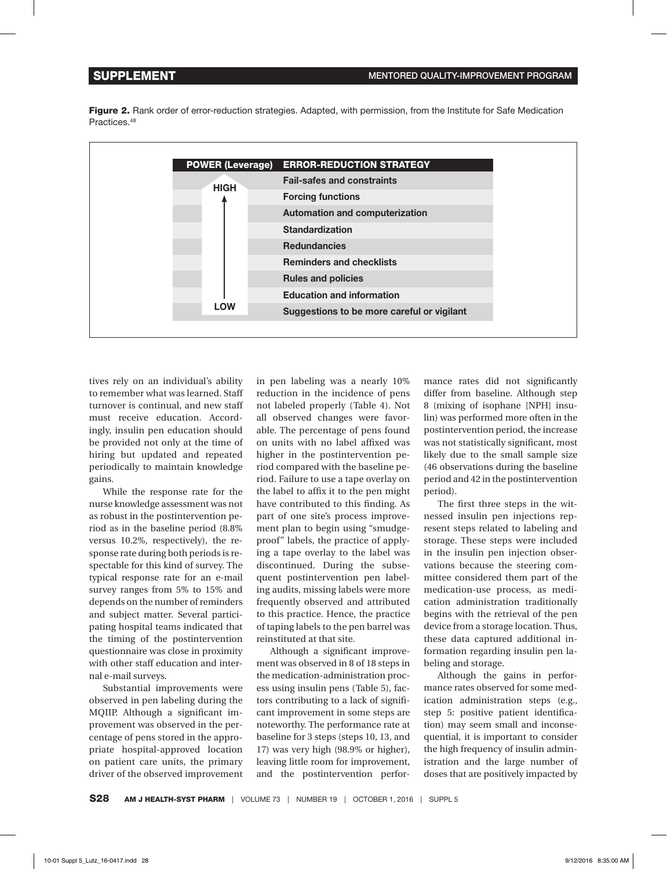Figure 2. Rank order of error-reduction strategies. Adapted, with permission, from the Institute for Safe Medication Practices<sup>48</sup>



tives rely on an individual's ability to remember what was learned. Staff turnover is continual, and new staff must receive education. Accordingly, insulin pen education should be provided not only at the time of hiring but updated and repeated periodically to maintain knowledge gains.

While the response rate for the nurse knowledge assessment was not as robust in the postintervention period as in the baseline period (8.8% versus 10.2%, respectively), the response rate during both periods is respectable for this kind of survey. The typical response rate for an e-mail survey ranges from 5% to 15% and depends on the number of reminders and subject matter. Several participating hospital teams indicated that the timing of the postintervention questionnaire was close in proximity with other staff education and internal e-mail surveys.

Substantial improvements were observed in pen labeling during the MQIIP. Although a significant improvement was observed in the percentage of pens stored in the appropriate hospital-approved location on patient care units, the primary driver of the observed improvement in pen labeling was a nearly 10% reduction in the incidence of pens not labeled properly (Table 4). Not all observed changes were favorable. The percentage of pens found on units with no label affixed was higher in the postintervention period compared with the baseline period. Failure to use a tape overlay on the label to affix it to the pen might have contributed to this finding. As part of one site's process improvement plan to begin using "smudgeproof" labels, the practice of applying a tape overlay to the label was discontinued. During the subsequent postintervention pen labeling audits, missing labels were more frequently observed and attributed to this practice. Hence, the practice of taping labels to the pen barrel was reinstituted at that site.

Although a significant improvement was observed in 8 of 18 steps in the medication-administration process using insulin pens (Table 5), factors contributing to a lack of significant improvement in some steps are noteworthy. The performance rate at baseline for 3 steps (steps 10, 13, and 17) was very high (98.9% or higher), leaving little room for improvement, and the postintervention perfor-

mance rates did not significantly differ from baseline. Although step 8 (mixing of isophane [NPH] insulin) was performed more often in the postintervention period, the increase was not statistically significant, most likely due to the small sample size (46 observations during the baseline period and 42 in the postintervention period).

The first three steps in the witnessed insulin pen injections represent steps related to labeling and storage. These steps were included in the insulin pen injection observations because the steering committee considered them part of the medication-use process, as medication administration traditionally begins with the retrieval of the pen device from a storage location. Thus, these data captured additional information regarding insulin pen labeling and storage.

Although the gains in performance rates observed for some medication administration steps (e.g., step 5: positive patient identification) may seem small and inconsequential, it is important to consider the high frequency of insulin administration and the large number of doses that are positively impacted by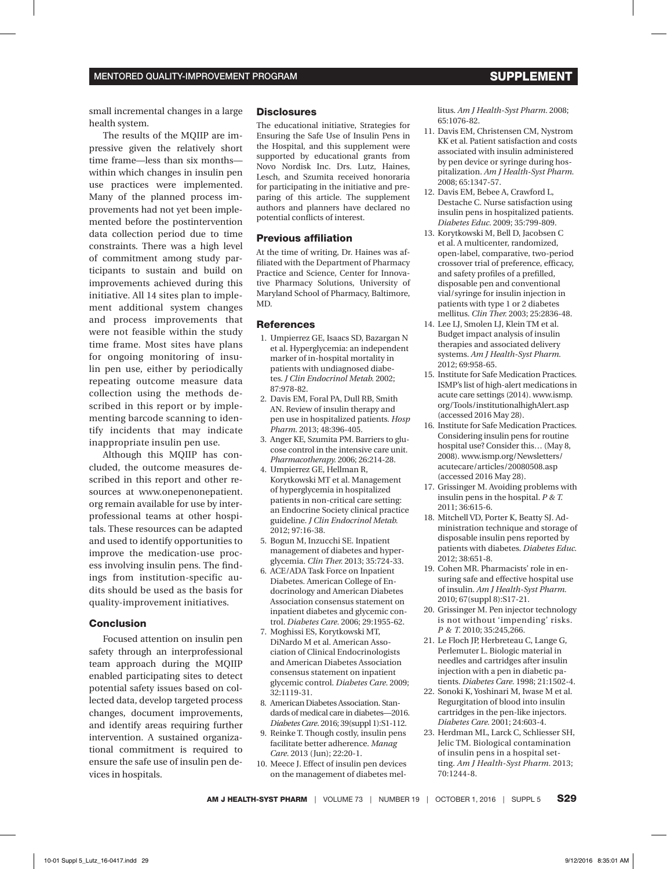small incremental changes in a large health system.

The results of the MQIIP are impressive given the relatively short time frame—less than six months within which changes in insulin pen use practices were implemented. Many of the planned process improvements had not yet been implemented before the postintervention data collection period due to time constraints. There was a high level of commitment among study participants to sustain and build on improvements achieved during this initiative. All 14 sites plan to implement additional system changes and process improvements that were not feasible within the study time frame. Most sites have plans for ongoing monitoring of insulin pen use, either by periodically repeating outcome measure data collection using the methods described in this report or by implementing barcode scanning to identify incidents that may indicate inappropriate insulin pen use.

Although this MQIIP has concluded, the outcome measures described in this report and other resources at www.onepenonepatient. org remain available for use by interprofessional teams at other hospitals. These resources can be adapted and used to identify opportunities to improve the medication-use process involving insulin pens. The findings from institution-specific audits should be used as the basis for quality-improvement initiatives.

#### **Conclusion**

Focused attention on insulin pen safety through an interprofessional team approach during the MQIIP enabled participating sites to detect potential safety issues based on collected data, develop targeted process changes, document improvements, and identify areas requiring further intervention. A sustained organizational commitment is required to ensure the safe use of insulin pen devices in hospitals.

### **Disclosures**

The educational initiative, Strategies for Ensuring the Safe Use of Insulin Pens in the Hospital, and this supplement were supported by educational grants from Novo Nordisk Inc. Drs. Lutz, Haines, Lesch, and Szumita received honoraria for participating in the initiative and preparing of this article. The supplement authors and planners have declared no potential conflicts of interest.

#### **Previous affiliation**

At the time of writing, Dr. Haines was affiliated with the Department of Pharmacy Practice and Science, Center for Innovative Pharmacy Solutions, University of Maryland School of Pharmacy, Baltimore, MD.

#### **References**

- 1. Umpierrez GE, Isaacs SD, Bazargan N et al. Hyperglycemia: an independent marker of in-hospital mortality in patients with undiagnosed diabetes. *J Clin Endocrinol Metab.* 2002; 87:978-82.
- 2. Davis EM, Foral PA, Dull RB, Smith AN. Review of insulin therapy and pen use in hospitalized patients. *Hosp Pharm.* 2013; 48:396-405.
- 3. Anger KE, Szumita PM. Barriers to glucose control in the intensive care unit. *Pharmacotherapy.* 2006; 26:214-28.
- 4. Umpierrez GE, Hellman R, Korytkowski MT et al. Management of hyperglycemia in hospitalized patients in non-critical care setting: an Endocrine Society clinical practice guideline. *J Clin Endocrinol Metab.*  2012; 97:16-38.
- 5. Bogun M, Inzucchi SE. Inpatient management of diabetes and hyperglycemia. *Clin Ther.* 2013; 35:724-33.
- 6. ACE/ADA Task Force on Inpatient Diabetes. American College of Endocrinology and American Diabetes Association consensus statement on inpatient diabetes and glycemic control. *Diabetes Care.* 2006; 29:1955-62.
- 7. Moghissi ES, Korytkowski MT, DiNardo M et al. American Association of Clinical Endocrinologists and American Diabetes Association consensus statement on inpatient glycemic control. *Diabetes Care.* 2009; 32:1119-31.
- 8. American Diabetes Association. Standards of medical care in diabetes—2016. *Diabetes Care*. 2016; 39(suppl 1):S1-112.
- 9. Reinke T. Though costly, insulin pens facilitate better adherence. *Manag Care.* 2013 (Jun); 22:20-1.
- 10. Meece J. Effect of insulin pen devices on the management of diabetes mel-

litus. *Am J Health-Syst Pharm.* 2008; 65:1076-82.

- 11. Davis EM, Christensen CM, Nystrom KK et al. Patient satisfaction and costs associated with insulin administered by pen device or syringe during hospitalization. *Am J Health-Syst Pharm.*  2008; 65:1347-57.
- 12. Davis EM, Bebee A, Crawford L, Destache C. Nurse satisfaction using insulin pens in hospitalized patients. *Diabetes Educ.* 2009; 35:799-809.
- 13. Korytkowski M, Bell D, Jacobsen C et al. A multicenter, randomized, open-label, comparative, two-period crossover trial of preference, efficacy, and safety profiles of a prefilled, disposable pen and conventional vial/syringe for insulin injection in patients with type 1 or 2 diabetes mellitus. *Clin Ther.* 2003; 25:2836-48.
- 14. Lee LJ, Smolen LJ, Klein TM et al. Budget impact analysis of insulin therapies and associated delivery systems. *Am J Health-Syst Pharm.*  2012; 69:958-65.
- 15. Institute for Safe Medication Practices. ISMP's list of high-alert medications in [acute care settings \(2014\). www.ismp.](www.ismp.org/Tools/institutionalhighAlert.asp) org/Tools/institutionalhighAlert.asp (accessed 2016 May 28).
- 16. Institute for Safe Medication Practices. Considering insulin pens for routine hospital use? Consider this… (May 8, [2008\). www.ismp.org/Newsletters/](http://www.ismp.org/Newsletters/acutecare/articles/20080508.asp) acutecare/articles/20080508.asp (accessed 2016 May 28).
- 17. Grissinger M. Avoiding problems with insulin pens in the hospital. *P & T.*  2011; 36:615-6.
- 18. Mitchell VD, Porter K, Beatty SJ. Administration technique and storage of disposable insulin pens reported by patients with diabetes. *Diabetes Educ.*  2012; 38:651-8.
- 19. Cohen MR. Pharmacists' role in ensuring safe and effective hospital use of insulin. *Am J Health-Syst Pharm.*  2010; 67(suppl 8):S17-21.
- 20. Grissinger M. Pen injector technology is not without 'impending' risks. *P & T.* 2010; 35:245,266.
- 21. Le Floch JP, Herbreteau C, Lange G, Perlemuter L. Biologic material in needles and cartridges after insulin injection with a pen in diabetic patients. *Diabetes Care.* 1998; 21:1502-4.
- 22. Sonoki K, Yoshinari M, Iwase M et al. Regurgitation of blood into insulin cartridges in the pen-like injectors. *Diabetes Care.* 2001; 24:603-4.
- 23. Herdman ML, Larck C, Schliesser SH, Jelic TM. Biological contamination of insulin pens in a hospital setting. *Am J Health-Syst Pharm.* 2013; 70:1244-8.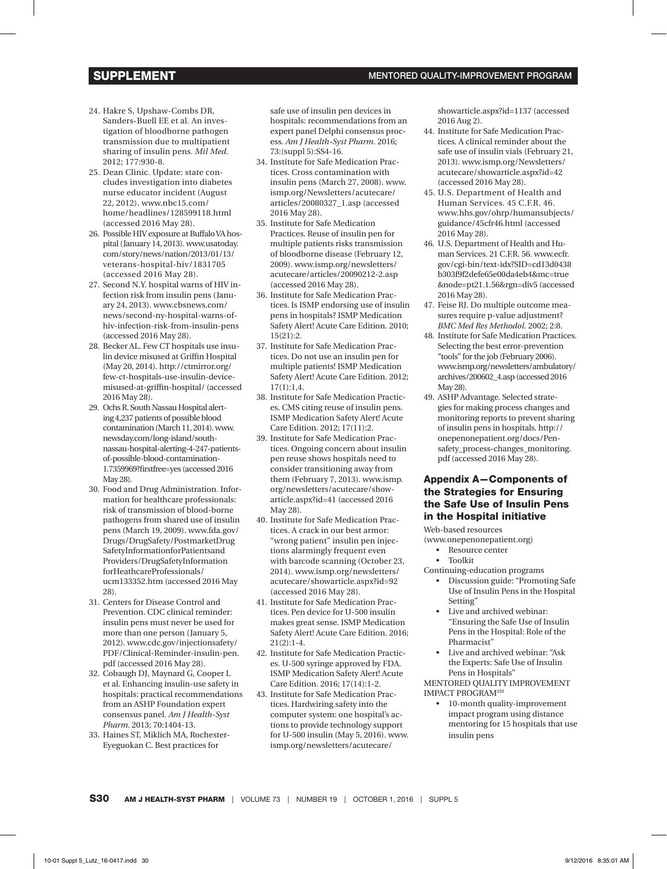- 24. Hakre S, Upshaw-Combs DR, Sanders-Buell EE et al. An investigation of bloodborne pathogen transmission due to multipatient sharing of insulin pens. *Mil Med.*  2012; 177:930-8.
- 25. Dean Clinic. Update: state concludes investigation into diabetes nurse educator incident (August 22, 2012). www.nbc15.com/ [home/headlines/128599118.html](http://www.nbc15.com/home/headlines/128599118.html)  (accessed 2016 May 28).
- 26. Possible HIV exposure at Buffalo VA hos[pital \(January 14, 2013\). www.usatoday.](http://www.usatoday.com/story/news/nation/2013/01/13/veterans-hospital-hiv/1831705/) com/story/news/nation/2013/01/13/ veterans-hospital-hiv/1831705 (accessed 2016 May 28).
- 27. Second N.Y. hospital warns of HIV infection risk from insulin pens (January 24, 2013). www.cbsnews.com/ news/second-ny-hospital-warns-of[hiv-infection-risk-from-insulin-pens](www.cbsnews.com/news/second-ny-hospital-warns-of-hiv-infection-risk-from-insulin-pens)  (accessed 2016 May 28).
- 28. Becker AL. Few CT hospitals use insulin device misused at Griffin Hospital (May 20, 2014). http://ctmirror.org/ few-ct-hospitals-use-insulin-device[misused-at-griffin-hospital/ \(accessed](http://ctmirror.org/2014/05/20/few-ct-hospitals-use-insulin-device-misused-at-griffin-hospital/) 2016 May 28).
- 29. Ochs R. South Nassau Hospital alerting 4,237 patients of possible blood contamination (March 11, 2014). www. newsday.com/long-island/south[nassau-hospital-alerting-4-247-patients](http://www.newsday.com/long-island/south-nassau-hospital-alerting-4-247-patients-of-possible-blood-contamination-1.7359969?firstfree=yes)of-possible-blood-contamination-1.7359969?firstfree=yes (accessed 2016 May 28).
- 30. Food and Drug Administration. Information for healthcare professionals: risk of transmission of blood-borne pathogens from shared use of insulin pens (March 19, 2009). www.fda.gov/ Drugs/DrugSafety/PostmarketDrug SafetyInformationforPatientsand Providers/DrugSafetyInformation forHeathcareProfessionals/ [ucm133352.htm \(accessed 2016 May](www.fda.gov/Drugs/DrugSafety/PostmarketDrugSafetyInformationforPatientsandProviders/DrugSafetyInformationforHeathcareProfessionals/ucm133352.htm)  28).
- 31. Centers for Disease Control and Prevention. CDC clinical reminder: insulin pens must never be used for more than one person (January 5, 2012). www.cdc.gov/injectionsafety/ [PDF/Clinical-Reminder-insulin-pen.](http://www.cdc.gov/injectionsafety/PDF/Clinical-Reminder-insulin-pen.pdf) pdf (accessed 2016 May 28).
- 32. Cobaugh DJ, Maynard G, Cooper L et al. Enhancing insulin-use safety in hospitals: practical recommendations from an ASHP Foundation expert consensus panel. *Am J Health-Syst Pharm.* 2013; 70:1404-13.
- 33. Haines ST, Miklich MA, Rochester-Eyeguokan C. Best practices for

safe use of insulin pen devices in hospitals: recommendations from an expert panel Delphi consensus process. *Am J Health-Syst Pharm.* 2016; 73:(suppl 5):SS4-16.

- 34. Institute for Safe Medication Practices. Cross contamination with [insulin pens \(March 27, 2008\). www.](http://www.ismp.org/Newsletters/acutecare/articles/20080327_1.asp) ismp.org/Newsletters/acutecare/ articles/20080327\_1.asp (accessed 2016 May 28).
- 35. Institute for Safe Medication Practices. Reuse of insulin pen for multiple patients risks transmission of bloodborne disease (February 12, 2009). www.ismp.org/newsletters/ [acutecare/articles/20090212-2.asp](http://www.ismp.org/newsletters/acutecare/articles/20090212-2.asp)  (accessed 2016 May 28).
- 36. Institute for Safe Medication Practices. Is ISMP endorsing use of insulin pens in hospitals? ISMP Medication Safety Alert! Acute Care Edition. 2010; 15(21):2.
- 37. Institute for Safe Medication Practices. Do not use an insulin pen for multiple patients! ISMP Medication Safety Alert! Acute Care Edition. 2012; 17(1):1,4.
- 38. Institute for Safe Medication Practices. CMS citing reuse of insulin pens. ISMP Medication Safety Alert! Acute Care Edition. 2012; 17(11):2.
- 39. Institute for Safe Medication Practices. Ongoing concern about insulin pen reuse shows hospitals need to consider transitioning away from [them \(February 7, 2013\). www.ismp.](http://www.ismp.org/newsletters/acutecare/showarticle.aspx?id=41) org/newsletters/acutecare/showarticle.aspx?id=41 (accessed 2016 May 28).
- 40. Institute for Safe Medication Practices. A crack in our best armor: "wrong patient" insulin pen injections alarmingly frequent even with barcode scanning (October 23, [2014\). www.ismp.org/newsletters/](http://www.ismp.org/newsletters/acutecare/showarticle.aspx?id=92) acutecare/showarticle.aspx?id=92 (accessed 2016 May 28).
- 41. Institute for Safe Medication Practices. Pen device for U-500 insulin makes great sense. ISMP Medication Safety Alert! Acute Care Edition. 2016;  $21(2):1-4.$
- 42. Institute for Safe Medication Practices. U-500 syringe approved by FDA. ISMP Medication Safety Alert! Acute Care Edition. 2016; 17(14):1-2.
- 43. Institute for Safe Medication Practices. Hardwiring safety into the computer system: one hospital's actions to provide technology support [for U-500 insulin \(May 5, 2016\). www.](www.ismp.org/newsletters/acutecare/showarticle.aspx?id=1137) ismp.org/newsletters/acutecare/

[showarticle.aspx?id=1137 \(](www.ismp.org/newsletters/acutecare/showarticle.aspx?id=1137)accessed 2016 Aug 2).

- 44. Institute for Safe Medication Practices. A clinical reminder about the safe use of insulin vials (February 21, [2013\). www.ismp.org/Newsletters/](http://www.ismp.org/Newsletters/acutecare/showarticle.aspx?id=42) acutecare/showarticle.aspx?id=42 (accessed 2016 May 28).
- 45. U.S. Department of Health and Human Services. 45 C.F.R. 46. [www.hhs.gov/ohrp/humansubjects/](http://www.hhs.gov/ohrp/regulations-and-policy/regulations/45-cfr-46/index.html) guidance/45cfr46.html (accessed 2016 May 28).
- 46. U.S. Department of Health and Human Services. 21 C.F.R. 56. www.ecfr. gov/cgi-bin/text-idx?SID=cd13d0438 b303f9f2defe65e00da4eb4&mc=true [&node=pt21.1.56&rgn=div5 \(accessed](http://www.ecfr.gov/cgi-bin/text-idx?SID=cd13d0438b303f9f2defe65e00da4eb4&mc=true&node=pt21.1.56&rgn=div5)  2016 May 28).
- 47. Feise RJ. Do multiple outcome measures require p-value adjustment? *BMC Med Res Methodol.* 2002; 2:8.
- 48. Institute for Safe Medication Practices. Selecting the best error-prevention "tools" for the job (February 2006). [www.ismp.org/newsletters/ambulatory/](http://www.ismp.org/newsletters/ambulatory/archives/200602_4.asp) archives/200602\_4.asp (accessed 2016 May 28).
- 49. ASHP Advantage. Selected strategies for making process changes and monitoring reports to prevent sharing of insulin pens in hospitals. http:// onepenonepatient.org/docs/Pen[safety\\_process-changes\\_monitoring.](http://onepenonepatient.org/docs/Pen-safety_process-changes_monitoring.pdf) pdf (accessed 2016 May 28).

## Appendix A—Components of the Strategies for Ensuring the Safe Use of Insulin Pens in the Hospital initiative

Web-based resources

(www.onepenonepatient.org)

- • Resource center
- • Toolkit

Continuing-education programs

- • Discussion guide: "Promoting Safe Use of Insulin Pens in the Hospital Setting"
- Live and archived webinar: "Ensuring the Safe Use of Insulin Pens in the Hospital: Role of the Pharmacist"
- Live and archived webinar: "Ask the Experts: Safe Use of Insulin Pens in Hospitals"

MENTORED QUALITY IMPROVEMENT IMPACT PROGRAMSM

10-month quality-improvement impact program using distance mentoring for 15 hospitals that use insulin pens